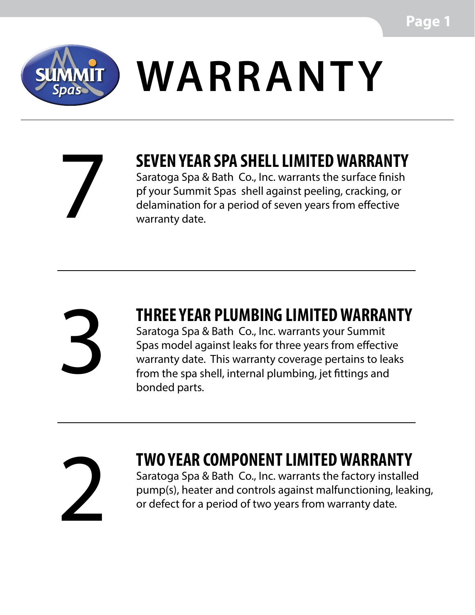

## **SUMMIT WARRANTY**

7

### **SEVEN YEAR SPA SHELL LIMITED WARRANTY**

Saratoga Spa & Bath Co., Inc. warrants the surface finish pf your Summit Spas shell against peeling, cracking, or delamination for a period of seven years from effective warranty date.

# 3

#### **THREE YEAR PLUMBING LIMITED WARRANTY**

Saratoga Spa & Bath Co., Inc. warrants your Summit Spas model against leaks for three years from effective warranty date. This warranty coverage pertains to leaks from the spa shell, internal plumbing, jet fittings and bonded parts.



#### **TWO YEAR COMPONENT LIMITED WARRANTY**

Saratoga Spa & Bath Co., Inc. warrants the factory installed pump(s), heater and controls against malfunctioning, leaking, or defect for a period of two years from warranty date.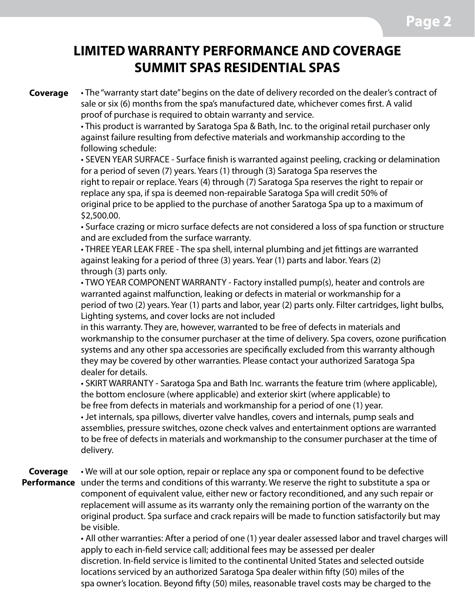#### **LIMITED WARRANTY PERFORMANCE AND COVERAGE SUMMIT SPAS RESIDENTIAL SPAS**

**Coverage**

• The "warranty start date" begins on the date of delivery recorded on the dealer's contract of sale or six (6) months from the spa's manufactured date, whichever comes first. A valid proof of purchase is required to obtain warranty and service.

• This product is warranted by Saratoga Spa & Bath, Inc. to the original retail purchaser only against failure resulting from defective materials and workmanship according to the following schedule:

• SEVEN YEAR SURFACE - Surface finish is warranted against peeling, cracking or delamination for a period of seven (7) years. Years (1) through (3) Saratoga Spa reserves the right to repair or replace. Years (4) through (7) Saratoga Spa reserves the right to repair or replace any spa, if spa is deemed non-repairable Saratoga Spa will credit 50% of original price to be applied to the purchase of another Saratoga Spa up to a maximum of \$2,500.00.

• Surface crazing or micro surface defects are not considered a loss of spa function or structure and are excluded from the surface warranty.

• THREE YEAR LEAK FREE - The spa shell, internal plumbing and jet fittings are warranted against leaking for a period of three (3) years. Year (1) parts and labor. Years (2) through (3) parts only.

• TWO YEAR COMPONENT WARRANTY - Factory installed pump(s), heater and controls are warranted against malfunction, leaking or defects in material or workmanship for a period of two (2) years. Year (1) parts and labor, year (2) parts only. Filter cartridges, light bulbs, Lighting systems, and cover locks are not included

in this warranty. They are, however, warranted to be free of defects in materials and workmanship to the consumer purchaser at the time of delivery. Spa covers, ozone purification systems and any other spa accessories are specifically excluded from this warranty although they may be covered by other warranties. Please contact your authorized Saratoga Spa dealer for details.

• SKIRT WARRANTY - Saratoga Spa and Bath Inc. warrants the feature trim (where applicable), the bottom enclosure (where applicable) and exterior skirt (where applicable) to be free from defects in materials and workmanship for a period of one (1) year.

• Jet internals, spa pillows, diverter valve handles, covers and internals, pump seals and assemblies, pressure switches, ozone check valves and entertainment options are warranted to be free of defects in materials and workmanship to the consumer purchaser at the time of delivery.

• We will at our sole option, repair or replace any spa or component found to be defective Performance under the terms and conditions of this warranty. We reserve the right to substitute a spa or component of equivalent value, either new or factory reconditioned, and any such repair or replacement will assume as its warranty only the remaining portion of the warranty on the original product. Spa surface and crack repairs will be made to function satisfactorily but may be visible. **Coverage**

> • All other warranties: After a period of one (1) year dealer assessed labor and travel charges will apply to each in-field service call; additional fees may be assessed per dealer discretion. In-field service is limited to the continental United States and selected outside locations serviced by an authorized Saratoga Spa dealer within fifty (50) miles of the spa owner's location. Beyond fifty (50) miles, reasonable travel costs may be charged to the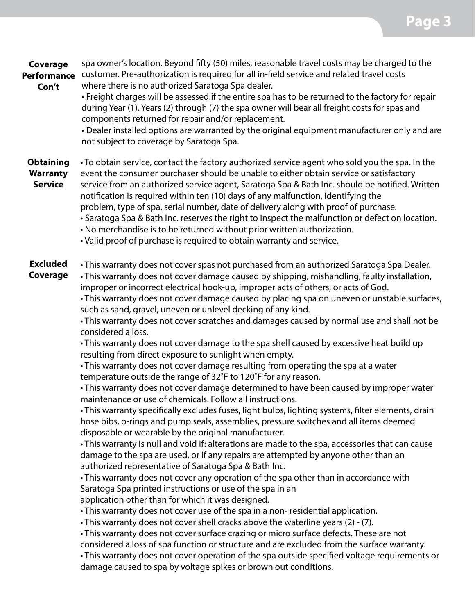spa owner's location. Beyond fifty (50) miles, reasonable travel costs may be charged to the **Performance** customer. Pre-authorization is required for all in-field service and related travel costs **Coverage**

**Con't**

where there is no authorized Saratoga Spa dealer. • Freight charges will be assessed if the entire spa has to be returned to the factory for repair during Year (1). Years (2) through (7) the spa owner will bear all freight costs for spas and

components returned for repair and/or replacement. • Dealer installed options are warranted by the original equipment manufacturer only and are

not subject to coverage by Saratoga Spa.

• To obtain service, contact the factory authorized service agent who sold you the spa. In the **Obtaining**

event the consumer purchaser should be unable to either obtain service or satisfactory **Warranty**

- **Service**
- service from an authorized service agent, Saratoga Spa & Bath Inc. should be notified. Written notification is required within ten (10) days of any malfunction, identifying the problem, type of spa, serial number, date of delivery along with proof of purchase.
	- Saratoga Spa & Bath Inc. reserves the right to inspect the malfunction or defect on location.
	- No merchandise is to be returned without prior written authorization.
	- Valid proof of purchase is required to obtain warranty and service.
- This warranty does not cover spas not purchased from an authorized Saratoga Spa Dealer. **Excluded**
- **Coverage**

• This warranty does not cover damage caused by shipping, mishandling, faulty installation, improper or incorrect electrical hook-up, improper acts of others, or acts of God.

• This warranty does not cover damage caused by placing spa on uneven or unstable surfaces, such as sand, gravel, uneven or unlevel decking of any kind.

• This warranty does not cover scratches and damages caused by normal use and shall not be considered a loss.

• This warranty does not cover damage to the spa shell caused by excessive heat build up resulting from direct exposure to sunlight when empty.

• This warranty does not cover damage resulting from operating the spa at a water temperature outside the range of 32˚F to 120˚F for any reason.

• This warranty does not cover damage determined to have been caused by improper water maintenance or use of chemicals. Follow all instructions.

• This warranty specifically excludes fuses, light bulbs, lighting systems, filter elements, drain hose bibs, o-rings and pump seals, assemblies, pressure switches and all items deemed disposable or wearable by the original manufacturer.

• This warranty is null and void if: alterations are made to the spa, accessories that can cause damage to the spa are used, or if any repairs are attempted by anyone other than an authorized representative of Saratoga Spa & Bath Inc.

• This warranty does not cover any operation of the spa other than in accordance with Saratoga Spa printed instructions or use of the spa in an application other than for which it was designed.

• This warranty does not cover use of the spa in a non- residential application.

• This warranty does not cover shell cracks above the waterline years (2) - (7).

• This warranty does not cover surface crazing or micro surface defects. These are not considered a loss of spa function or structure and are excluded from the surface warranty.

• This warranty does not cover operation of the spa outside specified voltage requirements or damage caused to spa by voltage spikes or brown out conditions.